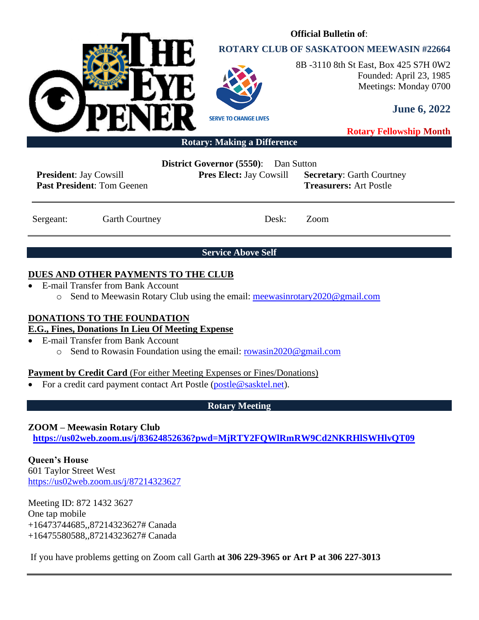

# **ROTARY CLUB OF SASKATOON MEEWASIN #22664**

**Official Bulletin of**:



8B -3110 8th St East, Box 425 S7H 0W2 Founded: April 23, 1985 Meetings: Monday 0700

**June 6, 2022**

**Rotary Fellowship Month**

**Rotary: Making a Difference**

**President**: Jay Cowsill **Past President**: Tom Geenen **District Governor (5550)**: Dan Sutton

**Pres Elect:** Jay Cowsill **Secretary**: Garth Courtney **Treasurers:** Art Postle

Sergeant: Garth Courtney Desk: Zoom

**Service Above Self**

## **DUES AND OTHER PAYMENTS TO THE CLUB**

- E-mail Transfer from Bank Account
	- o Send to Meewasin Rotary Club using the email: [meewasinrotary2020@gmail.com](mailto:meewasinrotary2020@gmail.com)

### **DONATIONS TO THE FOUNDATION**

### **E.G., Fines, Donations In Lieu Of Meeting Expense**

- E-mail Transfer from Bank Account
	- o Send to Rowasin Foundation using the email: [rowasin2020@gmail.com](mailto:rowasin2020@gmail.com)

### **Payment by Credit Card** (For either Meeting Expenses or Fines/Donations)

• For a credit card payment contact Art Postle [\(postle@sasktel.net\)](mailto:postle@sasktel.net).

### **Rotary Meeting**

### **ZOOM – Meewasin Rotary Club**

**[https://us02web.zoom.us/j/83624852636?pwd=MjRTY2FQWlRmRW9Cd2NKRHlSWHlvQT09](https://can01.safelinks.protection.outlook.com/?url=https%3A%2F%2Fus02web.zoom.us%2Fj%2F83624852636%3Fpwd%3DMjRTY2FQWlRmRW9Cd2NKRHlSWHlvQT09&data=04%7C01%7Ccpanko%40commonsenselawyer.com%7Ced41e005c3ab452d217408d8c53a6695%7C652c50d160e04e60a9982b6be68ca4a0%7C0%7C0%7C637476201917572504%7CUnknown%7CTWFpbGZsb3d8eyJWIjoiMC4wLjAwMDAiLCJQIjoiV2luMzIiLCJBTiI6Ik1haWwiLCJXVCI6Mn0%3D%7C3000&sdata=%2BasZ3EBpOHW4P4lXdj%2FC8%2FI8sU%2F5jZjAxSca541DwMc%3D&reserved=0)**

**Queen's House** 601 Taylor Street West <https://us02web.zoom.us/j/87214323627>

Meeting ID: 872 1432 3627 One tap mobile +16473744685,,87214323627# Canada +16475580588,,87214323627# Canada

If you have problems getting on Zoom call Garth **at 306 229-3965 or Art P at 306 227-3013**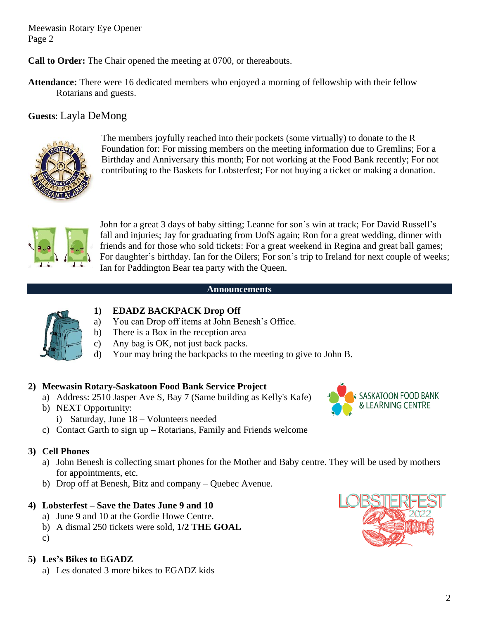**Call to Order:** The Chair opened the meeting at 0700, or thereabouts.

**Attendance:** There were 16 dedicated members who enjoyed a morning of fellowship with their fellow Rotarians and guests.

# **Guests**: Layla DeMong



The members joyfully reached into their pockets (some virtually) to donate to the R Foundation for: For missing members on the meeting information due to Gremlins; For a Birthday and Anniversary this month; For not working at the Food Bank recently; For not contributing to the Baskets for Lobsterfest; For not buying a ticket or making a donation.



John for a great 3 days of baby sitting; Leanne for son's win at track; For David Russell's fall and injuries; Jay for graduating from UofS again; Ron for a great wedding, dinner with friends and for those who sold tickets: For a great weekend in Regina and great ball games; For daughter's birthday. Ian for the Oilers; For son's trip to Ireland for next couple of weeks; Ian for Paddington Bear tea party with the Queen.

#### **Announcements**



## **1) EDADZ BACKPACK Drop Off**

- a) You can Drop off items at John Benesh's Office.
- b) There is a Box in the reception area
- c) Any bag is OK, not just back packs.
- d) Your may bring the backpacks to the meeting to give to John B.

### **2) Meewasin Rotary-Saskatoon Food Bank Service Project**

- a) Address: 2510 Jasper Ave S, Bay 7 (Same building as Kelly's Kafe)
- b) NEXT Opportunity:
	- i) Saturday, June 18 Volunteers needed
- c) Contact Garth to sign up Rotarians, Family and Friends welcome

### **3) Cell Phones**

- a) John Benesh is collecting smart phones for the Mother and Baby centre. They will be used by mothers for appointments, etc.
- b) Drop off at Benesh, Bitz and company Quebec Avenue.

### **4) Lobsterfest – Save the Dates June 9 and 10**

- a) June 9 and 10 at the Gordie Howe Centre.
- b) A dismal 250 tickets were sold, **1/2 THE GOAL**
- c)

### **5) Les's Bikes to EGADZ**

a) Les donated 3 more bikes to EGADZ kids



SASKATOON FOOD BANK & LEARNING CENTRE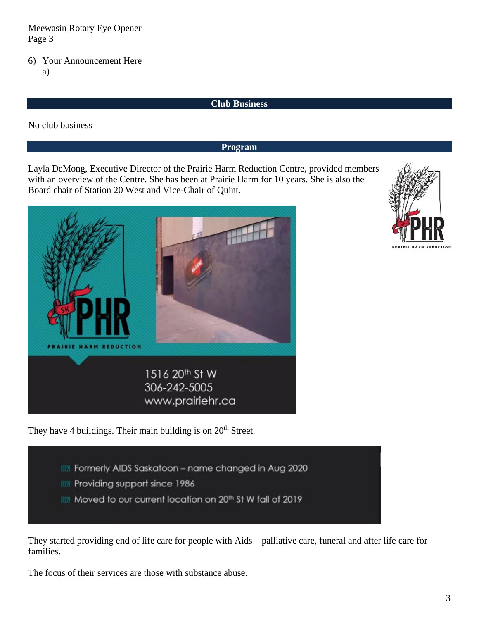#### 6) Your Announcement Here a)

#### **Club Business**

No club business

**Program**

Layla DeMong, Executive Director of the Prairie Harm Reduction Centre, provided members with an overview of the Centre. She has been at Prairie Harm for 10 years. She is also the Board chair of Station 20 West and Vice-Chair of Quint.





They have 4 buildings. Their main building is on  $20<sup>th</sup>$  Street.

- **RE** Formerly AIDS Saskatoon name changed in Aug 2020
- **PRI Providing support since 1986**
- 22 Moved to our current location on 20th St W fall of 2019

They started providing end of life care for people with Aids – palliative care, funeral and after life care for families.

The focus of their services are those with substance abuse.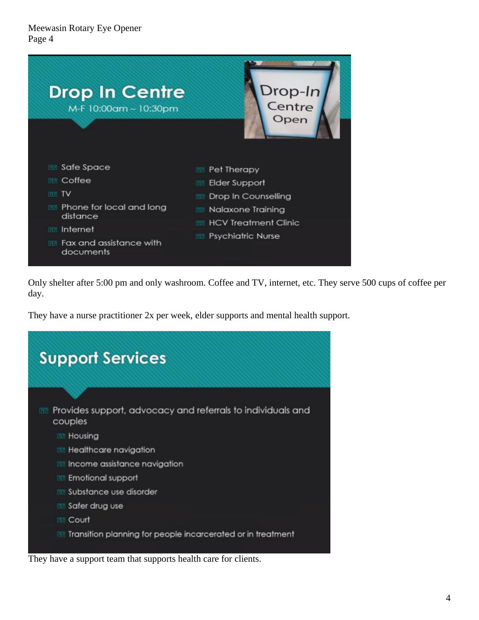

Only shelter after 5:00 pm and only washroom. Coffee and TV, internet, etc. They serve 500 cups of coffee per day.

They have a nurse practitioner 2x per week, elder supports and mental health support.

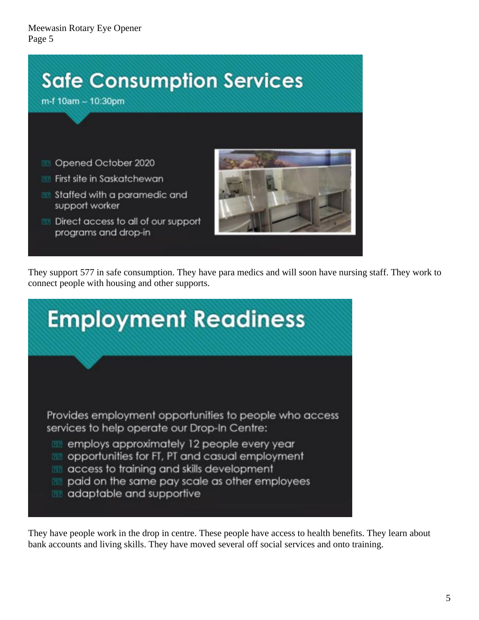

They support 577 in safe consumption. They have para medics and will soon have nursing staff. They work to connect people with housing and other supports.

| <b>Employment Readiness</b>                                                                                                                                                                                                                |  |  |  |
|--------------------------------------------------------------------------------------------------------------------------------------------------------------------------------------------------------------------------------------------|--|--|--|
|                                                                                                                                                                                                                                            |  |  |  |
| Provides employment opportunities to people who access<br>services to help operate our Drop-In Centre:                                                                                                                                     |  |  |  |
| employs approximately 12 people every year<br>opportunities for FT, PT and casual employment<br><b>PTP</b><br>access to training and skills development<br>paid on the same pay scale as other employees<br>adaptable and supportive<br>团团 |  |  |  |
|                                                                                                                                                                                                                                            |  |  |  |

They have people work in the drop in centre. These people have access to health benefits. They learn about bank accounts and living skills. They have moved several off social services and onto training.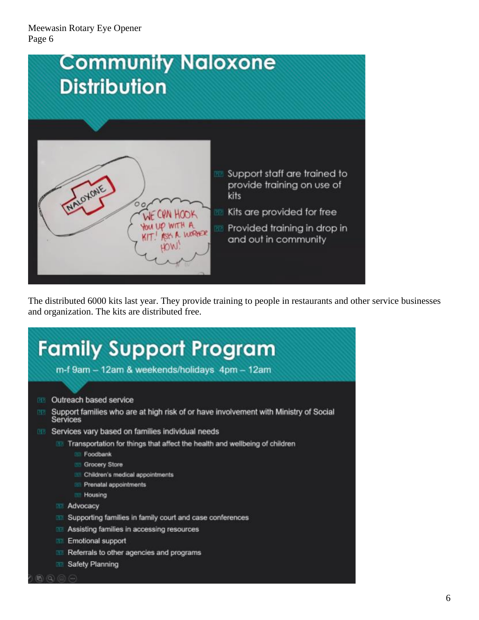

The distributed 6000 kits last year. They provide training to people in restaurants and other service businesses and organization. The kits are distributed free.

| <b>Family Support Program</b><br>m-f 9am - 12am & weekends/holidays 4pm - 12am                                |  |  |  |  |
|---------------------------------------------------------------------------------------------------------------|--|--|--|--|
|                                                                                                               |  |  |  |  |
| Outreach based service<br><b>DES</b>                                                                          |  |  |  |  |
| Support families who are at high risk of or have involvement with Ministry of Social<br>团团<br><b>Services</b> |  |  |  |  |
| Services vary based on families individual needs<br><b>EEE</b>                                                |  |  |  |  |
| Transportation for things that affect the health and wellbeing of children                                    |  |  |  |  |
| Foodbank<br><b>CRETA</b>                                                                                      |  |  |  |  |
| <b>Grocery Store</b><br>DOM:                                                                                  |  |  |  |  |
| Children's medical appointments<br><b>DOT</b>                                                                 |  |  |  |  |
| Prenatal appointments<br><b>CHOIL</b>                                                                         |  |  |  |  |
| Housing                                                                                                       |  |  |  |  |
| Advocacy<br><b>DE70</b>                                                                                       |  |  |  |  |
| Supporting families in family court and case conferences                                                      |  |  |  |  |
| Assisting families in accessing resources                                                                     |  |  |  |  |
| <b>Emotional support</b>                                                                                      |  |  |  |  |
| Referrals to other agencies and programs                                                                      |  |  |  |  |
| Safety Planning                                                                                               |  |  |  |  |
|                                                                                                               |  |  |  |  |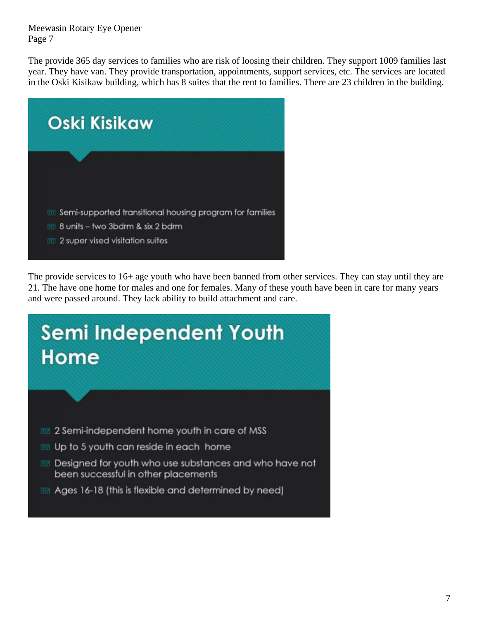The provide 365 day services to families who are risk of loosing their children. They support 1009 families last year. They have van. They provide transportation, appointments, support services, etc. The services are located in the Oski Kisikaw building, which has 8 suites that the rent to families. There are 23 children in the building.



The provide services to 16+ age youth who have been banned from other services. They can stay until they are 21. The have one home for males and one for females. Many of these youth have been in care for many years and were passed around. They lack ability to build attachment and care.

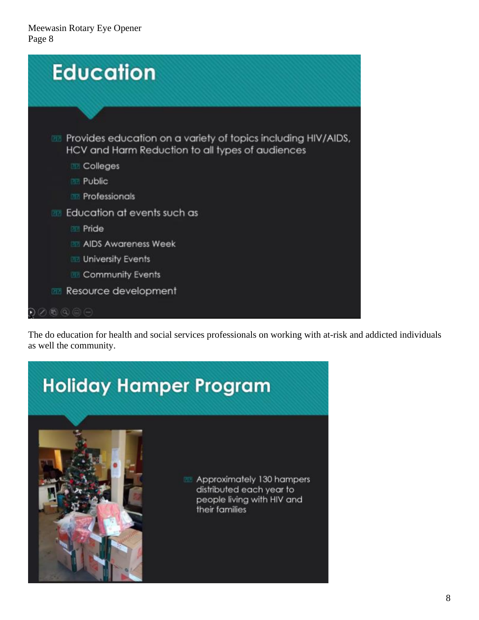| <b>Education</b>                                                                                                         |  |
|--------------------------------------------------------------------------------------------------------------------------|--|
|                                                                                                                          |  |
| Provides education on a variety of topics including HIV/AIDS,<br>012<br>HCV and Harm Reduction to all types of audiences |  |
| Colleges<br>团团                                                                                                           |  |
| Public<br>团团                                                                                                             |  |
| <b>En Professionals</b>                                                                                                  |  |
| Education at events such as<br><b>DET</b>                                                                                |  |
| <b>Pride</b>                                                                                                             |  |
| <b>AIDS Awareness Week</b>                                                                                               |  |
| <b>III</b> University Events                                                                                             |  |
| <b>Exercise Community Events</b>                                                                                         |  |
| Resource development                                                                                                     |  |
| $E(1)$ (2) (2) $(-1)$                                                                                                    |  |

The do education for health and social services professionals on working with at-risk and addicted individuals as well the community.

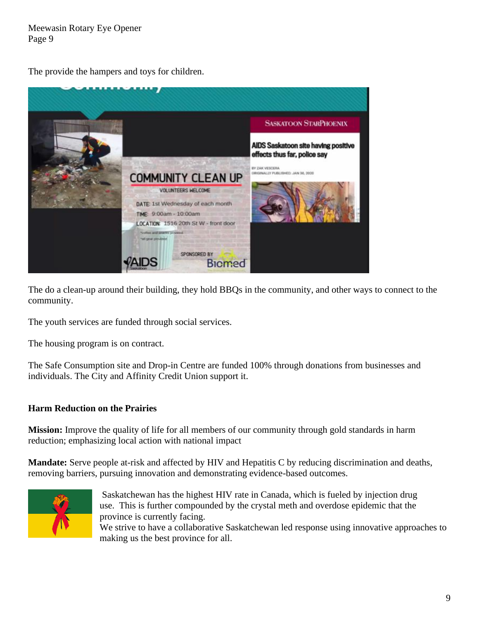The provide the hampers and toys for children.



The do a clean-up around their building, they hold BBQs in the community, and other ways to connect to the community.

The youth services are funded through social services.

The housing program is on contract.

The Safe Consumption site and Drop-in Centre are funded 100% through donations from businesses and individuals. The City and Affinity Credit Union support it.

### **Harm Reduction on the Prairies**

**Mission:** Improve the quality of life for all members of our community through gold standards in harm reduction; emphasizing local action with national impact

**Mandate:** Serve people at-risk and affected by HIV and Hepatitis C by reducing discrimination and deaths, removing barriers, pursuing innovation and demonstrating evidence-based outcomes.



Saskatchewan has the highest HIV rate in Canada, which is fueled by injection drug use. This is further compounded by the crystal meth and overdose epidemic that the province is currently facing. We strive to have a collaborative Saskatchewan led response using innovative approaches to making us the best province for all.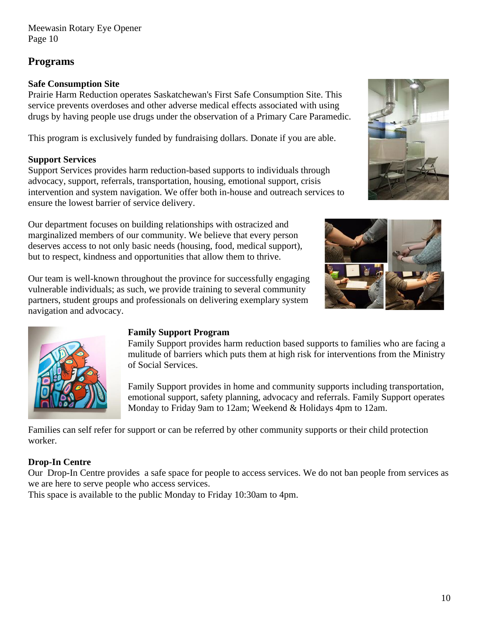# **Programs**

## **Safe Consumption Site**

Prairie Harm Reduction operates Saskatchewan's First Safe Consumption Site. This service prevents overdoses and other adverse medical effects associated with using drugs by having people use drugs under the observation of a Primary Care Paramedic.

This program is exclusively funded by fundraising dollars. Donate if you are able.

## **Support Services**

Support Services provides harm reduction-based supports to individuals through advocacy, support, referrals, transportation, housing, emotional support, crisis intervention and system navigation. We offer both in-house and outreach services to ensure the lowest barrier of service delivery.

Our department focuses on building relationships with ostracized and marginalized members of our community. We believe that every person deserves access to not only basic needs (housing, food, medical support), but to respect, kindness and opportunities that allow them to thrive.



Our team is well-known throughout the province for successfully engaging vulnerable individuals; as such, we provide training to several community partners, student groups and professionals on delivering exemplary system navigation and advocacy.



### **Family Support Program**

Family Support provides harm reduction based supports to families who are facing a mulitude of barriers which puts them at high risk for interventions from the Ministry of Social Services.

Family Support provides in home and community supports including transportation, emotional support, safety planning, advocacy and referrals. Family Support operates Monday to Friday 9am to 12am; Weekend & Holidays 4pm to 12am.

Families can self refer for support or can be referred by other community supports or their child protection worker.

# **Drop-In Centre**

Our Drop-In Centre provides a safe space for people to access services. We do not ban people from services as we are here to serve people who access services.

This space is available to the public Monday to Friday 10:30am to 4pm.

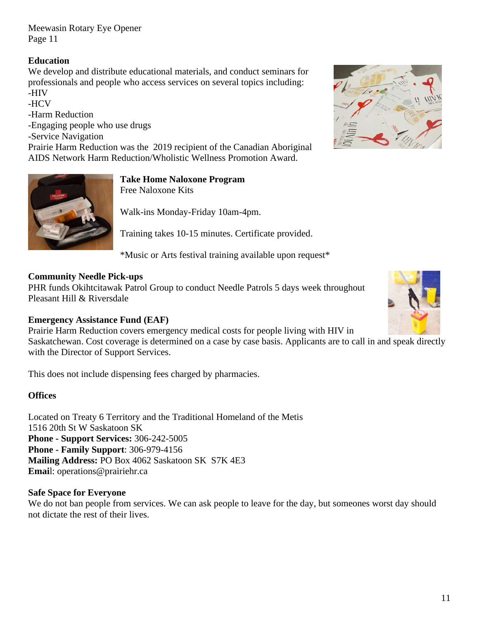### **Education**

We develop and distribute educational materials, and conduct seminars for professionals and people who access services on several topics including: -HIV

-HCV

-Harm Reduction

-Engaging people who use drugs

-Service Navigation

Prairie Harm Reduction was the 2019 recipient of the Canadian Aboriginal AIDS Network Harm Reduction/Wholistic Wellness Promotion Award.



#### **Take Home Naloxone Program** Free Naloxone Kits

Walk-ins Monday-Friday 10am-4pm.

Training takes 10-15 minutes. Certificate provided.

\*Music or Arts festival training available upon request\*

### **Community Needle Pick-ups**

PHR funds Okihtcitawak Patrol Group to conduct Needle Patrols 5 days week throughout Pleasant Hill & Riversdale

### **Emergency Assistance Fund (EAF)**

Prairie Harm Reduction covers emergency medical costs for people living with HIV in Saskatchewan. Cost coverage is determined on a case by case basis. Applicants are to call in and speak directly with the Director of Support Services.

This does not include dispensing fees charged by pharmacies.

### **Offices**

Located on Treaty 6 Territory and the Traditional Homeland of the Metis 1516 20th St W Saskatoon SK **Phone - Support Services:** 306-242-5005 **Phone - Family Support**: 306-979-4156 **Mailing Address:** PO Box 4062 Saskatoon SK S7K 4E3 **Emai**l: operations@prairiehr.ca

### **Safe Space for Everyone**

We do not ban people from services. We can ask people to leave for the day, but someones worst day should not dictate the rest of their lives.



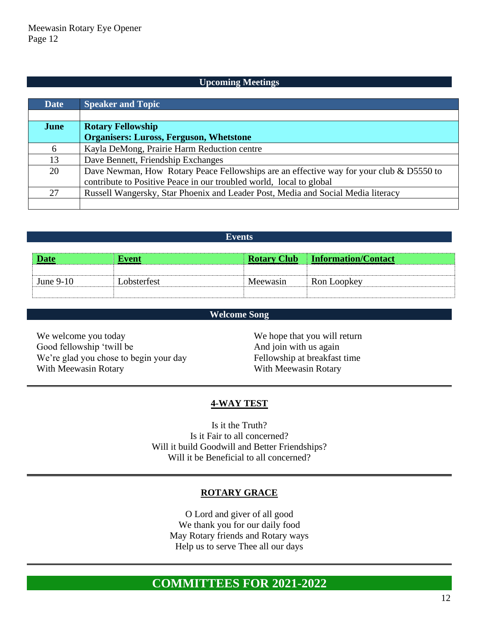#### **Upcoming Meetings**

| <b>Date</b> | <b>Speaker and Topic</b>                                                                |  |  |  |
|-------------|-----------------------------------------------------------------------------------------|--|--|--|
|             |                                                                                         |  |  |  |
| June        | <b>Rotary Fellowship</b>                                                                |  |  |  |
|             | <b>Organisers: Luross, Ferguson, Whetstone</b>                                          |  |  |  |
| 6           | Kayla DeMong, Prairie Harm Reduction centre                                             |  |  |  |
| 13          | Dave Bennett, Friendship Exchanges                                                      |  |  |  |
| 20          | Dave Newman, How Rotary Peace Fellowships are an effective way for your club & D5550 to |  |  |  |
|             | contribute to Positive Peace in our troubled world, local to global                     |  |  |  |
| 27          | Russell Wangersky, Star Phoenix and Leader Post, Media and Social Media literacy        |  |  |  |
|             |                                                                                         |  |  |  |

| <b>Date</b> | Event       |          | <b>Rotary Club</b> Information/Contact |
|-------------|-------------|----------|----------------------------------------|
|             |             |          |                                        |
| June $9-10$ | Lobsterfest | Meewasin | Ron Loopkey                            |
|             |             |          |                                        |

**Events**

#### **Welcome Song**

We welcome you today Good fellowship 'twill be We're glad you chose to begin your day With Meewasin Rotary

We hope that you will return And join with us again Fellowship at breakfast time With Meewasin Rotary

#### **4-WAY TEST**

Is it the Truth? Is it Fair to all concerned? Will it build Goodwill and Better Friendships? Will it be Beneficial to all concerned?

#### **ROTARY GRACE**

O Lord and giver of all good We thank you for our daily food May Rotary friends and Rotary ways Help us to serve Thee all our days

# **COMMITTEES FOR 2021-2022**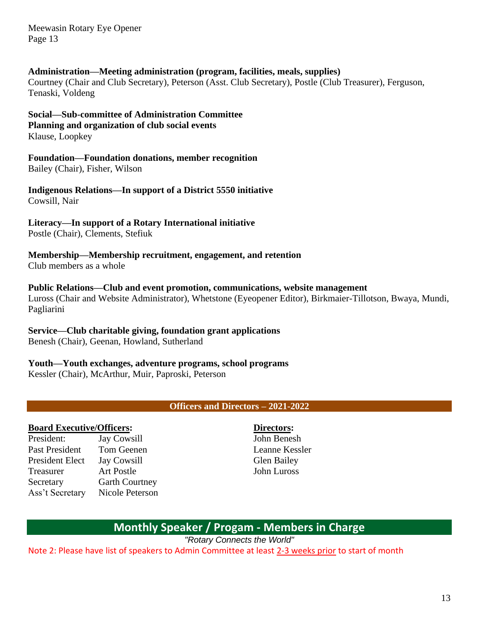#### **Administration—Meeting administration (program, facilities, meals, supplies)**

Courtney (Chair and Club Secretary), Peterson (Asst. Club Secretary), Postle (Club Treasurer), Ferguson, Tenaski, Voldeng

**Social—Sub-committee of Administration Committee Planning and organization of club social events** Klause, Loopkey

**Foundation—Foundation donations, member recognition** Bailey (Chair), Fisher, Wilson

**Indigenous Relations—In support of a District 5550 initiative** Cowsill, Nair

**Literacy—In support of a Rotary International initiative**

Postle (Chair), Clements, Stefiuk

**Membership—Membership recruitment, engagement, and retention** Club members as a whole

**Public Relations—Club and event promotion, communications, website management** Luross (Chair and Website Administrator), Whetstone (Eyeopener Editor), Birkmaier-Tillotson, Bwaya, Mundi, Pagliarini

**Service—Club charitable giving, foundation grant applications**

Benesh (Chair), Geenan, Howland, Sutherland

**Youth—Youth exchanges, adventure programs, school programs**

Kessler (Chair), McArthur, Muir, Paproski, Peterson

**Officers and Directors – 2021-2022**

#### **Board Executive/Officers:**

President: Jay Cowsill Past President Tom Geenen President Elect Jay Cowsill Treasurer Art Postle Secretary Garth Courtney Ass't Secretary Nicole Peterson

### **Directors:**

John Benesh Leanne Kessler Glen Bailey John Luross

# **Monthly Speaker / Progam - Members in Charge**

*"Rotary Connects the World"*

Note 2: Please have list of speakers to Admin Committee at least 2-3 weeks prior to start of month